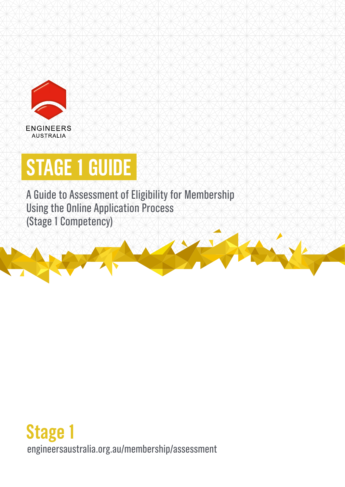

# **STAGE 1 GUIDE**

A Guide to Assessment of Eligibility for Membership Using the Online Application Process (Stage 1 Competency)

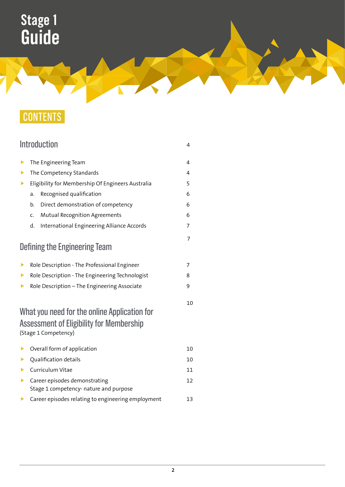## CONTENTS

|   | Introduction                                                                                                     | 4  |  |
|---|------------------------------------------------------------------------------------------------------------------|----|--|
| ▶ | The Engineering Team                                                                                             | 4  |  |
| ▶ | The Competency Standards                                                                                         |    |  |
| ▶ | Eligibility for Membership Of Engineers Australia                                                                |    |  |
|   | Recognised qualification<br>a.                                                                                   | 6  |  |
|   | Direct demonstration of competency<br>b.                                                                         | 6  |  |
|   | <b>Mutual Recognition Agreements</b><br>C.                                                                       | 6  |  |
|   | d.<br>International Engineering Alliance Accords                                                                 | 7  |  |
|   | Defining the Engineering Team                                                                                    | 7  |  |
| ▶ | Role Description - The Professional Engineer                                                                     | 7  |  |
| ▶ | Role Description - The Engineering Technologist                                                                  |    |  |
| ▶ | Role Description - The Engineering Associate                                                                     | 9  |  |
|   | What you need for the online Application for<br>Assessment of Eligibility for Membership<br>(Stage 1 Competency) | 10 |  |
| ▶ | Overall form of application                                                                                      | 10 |  |
| ▶ | Qualification details                                                                                            | 10 |  |
| ▶ | Curriculum Vitae                                                                                                 | 11 |  |
| ▶ | Career episodes demonstrating<br>Stage 1 competency- nature and purpose                                          | 12 |  |
| ▶ | Career episodes relating to engineering employment                                                               | 13 |  |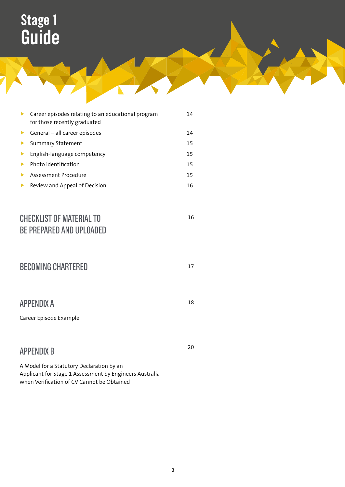| Þ.                      | Career episodes relating to an educational program<br>for those recently graduated | 14 |
|-------------------------|------------------------------------------------------------------------------------|----|
|                         | $\triangleright$ General – all career episodes                                     | 14 |
| $\blacktriangleright$   | <b>Summary Statement</b>                                                           | 15 |
| $\blacktriangleright$ . | English-language competency                                                        | 15 |
| $\blacktriangleright$   | Photo identification                                                               | 15 |
| Þ.                      | Assessment Procedure                                                               | 15 |
| ▶                       | Review and Appeal of Decision                                                      | 16 |
|                         |                                                                                    |    |

### CHECKLIST OF MATERIAL TO BE PREPARED AND UPLOADED

| <b>BECOMING CHARTERED</b>                   |    |  |
|---------------------------------------------|----|--|
| <b>APPENDIX A</b>                           | 18 |  |
| Career Episode Example                      |    |  |
| <b>APPENDIX B</b>                           | 20 |  |
| A Madel fau a Chabuban : Daelaushian Israel |    |  |

A Model for a Statutory Declaration by an Applicant for Stage 1 Assessment by Engineers Australia when Verification of CV Cannot be Obtained

16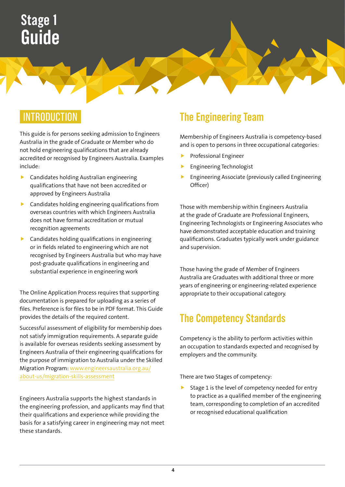## **INTRODUCTION**

This guide is for persons seeking admission to Engineers Australia in the grade of Graduate or Member who do not hold engineering qualifications that are already accredited or recognised by Engineers Australia. Examples include:

- $\blacktriangleright$  Candidates holding Australian engineering qualifications that have not been accredited or approved by Engineers Australia
- $\blacktriangleright$  Candidates holding engineering qualifications from overseas countries with which Engineers Australia does not have formal accreditation or mutual recognition agreements
- $\blacktriangleright$  Candidates holding qualifications in engineering or in fields related to engineering which are not recognised by Engineers Australia but who may have post-graduate qualifications in engineering and substantial experience in engineering work

The Online Application Process requires that supporting documentation is prepared for uploading as a series of files. Preference is for files to be in PDF format. This Guide provides the details of the required content.

Successful assessment of eligibility for membership does not satisfy immigration requirements. A separate guide is available for overseas residents seeking assessment by Engineers Australia of their engineering qualifications for the purpose of immigration to Australia under the Skilled Migration Program: [www.engineersaustralia.org.au/](http://www.engineersaustralia.org.au/about-us/migration-skills-assessment) [about-us/migration-skills-assessment](http://www.engineersaustralia.org.au/about-us/migration-skills-assessment)

Engineers Australia supports the highest standards in the engineering profession, and applicants may find that their qualifications and experience while providing the basis for a satisfying career in engineering may not meet these standards.

## **The Engineering Team**

Membership of Engineers Australia is competency-based and is open to persons in three occupational categories:

- Professional Engineer
- $\blacktriangleright$  Engineering Technologist
- f Engineering Associate (previously called Engineering Officer)

Those with membership within Engineers Australia at the grade of Graduate are Professional Engineers, Engineering Technologists or Engineering Associates who have demonstrated acceptable education and training qualifications. Graduates typically work under guidance and supervision.

Those having the grade of Member of Engineers Australia are Graduates with additional three or more years of engineering or engineering-related experience appropriate to their occupational category.

## **The Competency Standards**

Competency is the ability to perform activities within an occupation to standards expected and recognised by employers and the community.

There are two Stages of competency:

Stage 1 is the level of competency needed for entry to practice as a qualified member of the engineering team, corresponding to completion of an accredited or recognised educational qualification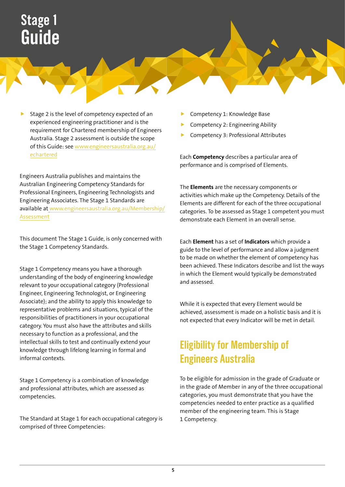Stage 2 is the level of competency expected of an experienced engineering practitioner and is the requirement for Chartered membership of Engineers Australia. Stage 2 assessment is outside the scope of this Guide: see [www.engineersaustralia.org.au/](http://www.engineersaustralia.org.au/echartered) [echartered](http://www.engineersaustralia.org.au/echartered)

Engineers Australia publishes and maintains the Australian Engineering Competency Standards for Professional Engineers, Engineering Technologists and Engineering Associates. The Stage 1 Standards are available at [www.engineersaustralia.org.au/Membership/](http://www.engineersaustralia.org.au/Membership/Assessment) [Assessment](http://www.engineersaustralia.org.au/Membership/Assessment)

This document The Stage 1 Guide, is only concerned with the Stage 1 Competency Standards.

Stage 1 Competency means you have a thorough understanding of the body of engineering knowledge relevant to your occupational category (Professional Engineer, Engineering Technologist, or Engineering Associate); and the ability to apply this knowledge to representative problems and situations, typical of the responsibilities of practitioners in your occupational category. You must also have the attributes and skills necessary to function as a professional, and the intellectual skills to test and continually extend your knowledge through lifelong learning in formal and informal contexts.

Stage 1 Competency is a combination of knowledge and professional attributes, which are assessed as competencies.

The Standard at Stage 1 for each occupational category is comprised of three Competencies:

- Competency 1: Knowledge Base
- f Competency 2: Engineering Ability
- f Competency 3: Professional Attributes

Each **Competency** describes a particular area of performance and is comprised of Elements.

The **Elements** are the necessary components or activities which make up the Competency. Details of the Elements are different for each of the three occupational categories. To be assessed as Stage 1 competent you must demonstrate each Element in an overall sense.

Each **Element** has a set of **Indicators** which provide a guide to the level of performance and allow a judgment to be made on whether the element of competency has been achieved. These Indicators describe and list the ways in which the Element would typically be demonstrated and assessed.

While it is expected that every Element would be achieved, assessment is made on a holistic basis and it is not expected that every Indicator will be met in detail.

## **Eligibility for Membership of Engineers Australia**

To be eligible for admission in the grade of Graduate or in the grade of Member in any of the three occupational categories, you must demonstrate that you have the competencies needed to enter practice as a qualified member of the engineering team. This is Stage 1 Competency.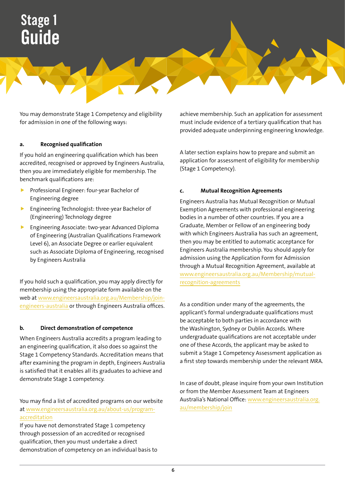You may demonstrate Stage 1 Competency and eligibility for admission in one of the following ways:

#### **a. Recognised qualification**

If you hold an engineering qualification which has been accredited, recognised or approved by Engineers Australia, then you are immediately eligible for membership. The benchmark qualifications are:

- Professional Engineer: four-year Bachelor of Engineering degree
- $\blacktriangleright$  Engineering Technologist: three-year Bachelor of (Engineering) Technology degree
- $\blacktriangleright$  Engineering Associate: two-year Advanced Diploma of Engineering (Australian Qualifications Framework Level 6), an Associate Degree or earlier equivalent such as Associate Diploma of Engineering, recognised by Engineers Australia

If you hold such a qualification, you may apply directly for membership using the appropriate form available on the web at [www.engineersaustralia.org.au/Membership/join](http://www.engineersaustralia.org.au/Membership/join-engineers-australia)[engineers-australia](http://www.engineersaustralia.org.au/Membership/join-engineers-australia) or through Engineers Australia offices.

#### **b. Direct demonstration of competence**

When Engineers Australia accredits a program leading to an engineering qualification, it also does so against the Stage 1 Competency Standards. Accreditation means that after examining the program in depth, Engineers Australia is satisfied that it enables all its graduates to achieve and demonstrate Stage 1 competency.

You may find a list of accredited programs on our website at [www.engineersaustralia.org.au/about-us/program](http://www.engineersaustralia.org.au/about-us/program-accreditation)[accreditation](http://www.engineersaustralia.org.au/about-us/program-accreditation)

If you have not demonstrated Stage 1 competency through possession of an accredited or recognised qualification, then you must undertake a direct demonstration of competency on an individual basis to achieve membership. Such an application for assessment must include evidence of a tertiary qualification that has provided adequate underpinning engineering knowledge.

A later section explains how to prepare and submit an application for assessment of eligibility for membership (Stage 1 Competency).

#### **c. Mutual Recognition Agreements**

Engineers Australia has Mutual Recognition or Mutual Exemption Agreements with professional engineering bodies in a number of other countries. If you are a Graduate, Member or Fellow of an engineering body with which Engineers Australia has such an agreement, then you may be entitled to automatic acceptance for Engineers Australia membership. You should apply for admission using the Application Form for Admission through a Mutual Recognition Agreement, available at [www.engineersaustralia.org.au/Membership/mutual](http://www.engineersaustralia.org.au/Membership/mutual-recognition-agreements)[recognition-agreements](http://www.engineersaustralia.org.au/Membership/mutual-recognition-agreements)

As a condition under many of the agreements, the applicant's formal undergraduate qualifications must be acceptable to both parties in accordance with the Washington, Sydney or Dublin Accords. Where undergraduate qualifications are not acceptable under one of these Accords, the applicant may be asked to submit a Stage 1 Competency Assessment application as a first step towards membership under the relevant MRA.

In case of doubt, please inquire from your own Institution or from the Member Assessment Team at Engineers Australia's National Office: [www.engineersaustralia.org.](http://www.engineersaustralia.org.au/membership/join) [au/membership/join](http://www.engineersaustralia.org.au/membership/join)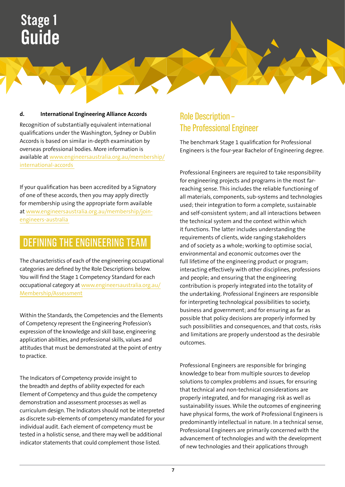#### **d. International Engineering Alliance Accords**

Recognition of substantially equivalent international qualifications under the Washington, Sydney or Dublin Accords is based on similar in-depth examination by overseas professional bodies. More information is available at [www.engineersaustralia.org.au/membership/](http://www.engineersaustralia.org.au/membership/international-accords) [international-accords](http://www.engineersaustralia.org.au/membership/international-accords) 

If your qualification has been accredited by a Signatory of one of these accords, then you may apply directly for membership using the appropriate form available at [www.engineersaustralia.org.au/membership/join](http://www.engineersaustralia.org.au/membership/join-engineers-australia)[engineers-australia](http://www.engineersaustralia.org.au/membership/join-engineers-australia) 

## DEFINING THE ENGINEERING TEAM

The characteristics of each of the engineering occupational categories are defined by the Role Descriptions below. You will find the Stage 1 Competency Standard for each occupational category at [www.engineersaustralia.org.au/](http://www.engineersaustralia.org.au/Membership/Assessment) [Membership/Assessment](http://www.engineersaustralia.org.au/Membership/Assessment)

Within the Standards, the Competencies and the Elements of Competency represent the Engineering Profession's expression of the knowledge and skill base, engineering application abilities, and professional skills, values and attitudes that must be demonstrated at the point of entry to practice.

The Indicators of Competency provide insight to the breadth and depths of ability expected for each Element of Competency and thus guide the competency demonstration and assessment processes as well as curriculum design. The Indicators should not be interpreted as discrete sub-elements of competency mandated for your individual audit. Each element of competency must be tested in a holistic sense, and there may well be additional indicator statements that could complement those listed.

### Role Description – The Professional Engineer

The benchmark Stage 1 qualification for Professional Engineers is the four-year Bachelor of Engineering degree.

Professional Engineers are required to take responsibility for engineering projects and programs in the most farreaching sense. This includes the reliable functioning of all materials, components, sub-systems and technologies used; their integration to form a complete, sustainable and self-consistent system; and all interactions between the technical system and the context within which it functions. The latter includes understanding the requirements of clients, wide ranging stakeholders and of society as a whole; working to optimise social, environmental and economic outcomes over the full lifetime of the engineering product or program; interacting effectively with other disciplines, professions and people; and ensuring that the engineering contribution is properly integrated into the totality of the undertaking. Professional Engineers are responsible for interpreting technological possibilities to society, business and government; and for ensuring as far as possible that policy decisions are properly informed by such possibilities and consequences, and that costs, risks and limitations are properly understood as the desirable outcomes.

Professional Engineers are responsible for bringing knowledge to bear from multiple sources to develop solutions to complex problems and issues, for ensuring that technical and non-technical considerations are properly integrated, and for managing risk as well as sustainability issues. While the outcomes of engineering have physical forms, the work of Professional Engineers is predominantly intellectual in nature. In a technical sense, Professional Engineers are primarily concerned with the advancement of technologies and with the development of new technologies and their applications through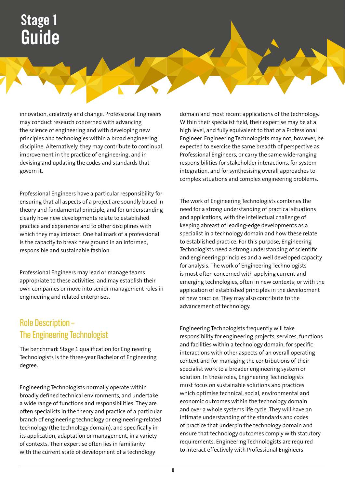innovation, creativity and change. Professional Engineers may conduct research concerned with advancing the science of engineering and with developing new principles and technologies within a broad engineering discipline. Alternatively, they may contribute to continual improvement in the practice of engineering, and in devising and updating the codes and standards that govern it.

Professional Engineers have a particular responsibility for ensuring that all aspects of a project are soundly based in theory and fundamental principle, and for understanding clearly how new developments relate to established practice and experience and to other disciplines with which they may interact. One hallmark of a professional is the capacity to break new ground in an informed, responsible and sustainable fashion.

Professional Engineers may lead or manage teams appropriate to these activities, and may establish their own companies or move into senior management roles in engineering and related enterprises.

### Role Description – The Engineering Technologist

The benchmark Stage 1 qualification for Engineering Technologists is the three-year Bachelor of Engineering degree.

Engineering Technologists normally operate within broadly defined technical environments, and undertake a wide range of functions and responsibilities. They are often specialists in the theory and practice of a particular branch of engineering technology or engineering-related technology (the technology domain), and specifically in its application, adaptation or management, in a variety of contexts. Their expertise often lies in familiarity with the current state of development of a technology

domain and most recent applications of the technology. Within their specialist field, their expertise may be at a high level, and fully equivalent to that of a Professional Engineer. Engineering Technologists may not, however, be expected to exercise the same breadth of perspective as Professional Engineers, or carry the same wide-ranging responsibilities for stakeholder interactions, for system integration, and for synthesising overall approaches to complex situations and complex engineering problems.

The work of Engineering Technologists combines the need for a strong understanding of practical situations and applications, with the intellectual challenge of keeping abreast of leading-edge developments as a specialist in a technology domain and how these relate to established practice. For this purpose, Engineering Technologists need a strong understanding of scientific and engineering principles and a well developed capacity for analysis. The work of Engineering Technologists is most often concerned with applying current and emerging technologies, often in new contexts; or with the application of established principles in the development of new practice. They may also contribute to the advancement of technology.

Engineering Technologists frequently will take responsibility for engineering projects, services, functions and facilities within a technology domain, for specific interactions with other aspects of an overall operating context and for managing the contributions of their specialist work to a broader engineering system or solution. In these roles, Engineering Technologists must focus on sustainable solutions and practices which optimise technical, social, environmental and economic outcomes within the technology domain and over a whole systems life cycle. They will have an intimate understanding of the standards and codes of practice that underpin the technology domain and ensure that technology outcomes comply with statutory requirements. Engineering Technologists are required to interact effectively with Professional Engineers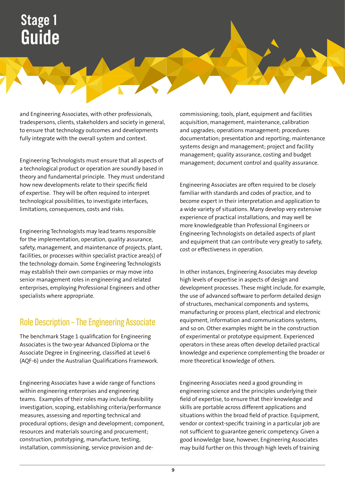and Engineering Associates, with other professionals, tradespersons, clients, stakeholders and society in general, to ensure that technology outcomes and developments fully integrate with the overall system and context.

Engineering Technologists must ensure that all aspects of a technological product or operation are soundly based in theory and fundamental principle. They must understand how new developments relate to their specific field of expertise. They will be often required to interpret technological possibilities, to investigate interfaces, limitations, consequences, costs and risks.

Engineering Technologists may lead teams responsible for the implementation, operation, quality assurance, safety, management, and maintenance of projects, plant, facilities, or processes within specialist practice area(s) of the technology domain. Some Engineering Technologists may establish their own companies or may move into senior management roles in engineering and related enterprises, employing Professional Engineers and other specialists where appropriate.

### Role Description – The Engineering Associate

The benchmark Stage 1 qualification for Engineering Associates is the two-year Advanced Diploma or the Associate Degree in Engineering, classified at Level 6 (AQF-6) under the Australian Qualifications Framework.

Engineering Associates have a wide range of functions within engineering enterprises and engineering teams. Examples of their roles may include feasibility investigation, scoping, establishing criteria/performance measures, assessing and reporting technical and procedural options; design and development; component, resources and materials sourcing and procurement; construction, prototyping, manufacture, testing, installation, commissioning, service provision and decommissioning; tools, plant, equipment and facilities acquisition, management, maintenance, calibration and upgrades; operations management; procedures documentation; presentation and reporting; maintenance systems design and management; project and facility management; quality assurance, costing and budget management; document control and quality assurance.

Engineering Associates are often required to be closely familiar with standards and codes of practice, and to become expert in their interpretation and application to a wide variety of situations. Many develop very extensive experience of practical installations, and may well be more knowledgeable than Professional Engineers or Engineering Technologists on detailed aspects of plant and equipment that can contribute very greatly to safety, cost or effectiveness in operation.

In other instances, Engineering Associates may develop high levels of expertise in aspects of design and development processes. These might include, for example, the use of advanced software to perform detailed design of structures, mechanical components and systems, manufacturing or process plant, electrical and electronic equipment, information and communications systems, and so on. Other examples might be in the construction of experimental or prototype equipment. Experienced operators in these areas often develop detailed practical knowledge and experience complementing the broader or more theoretical knowledge of others.

Engineering Associates need a good grounding in engineering science and the principles underlying their field of expertise, to ensure that their knowledge and skills are portable across different applications and situations within the broad field of practice. Equipment, vendor or context-specific training in a particular job are not sufficient to guarantee generic competency. Given a good knowledge base, however, Engineering Associates may build further on this through high levels of training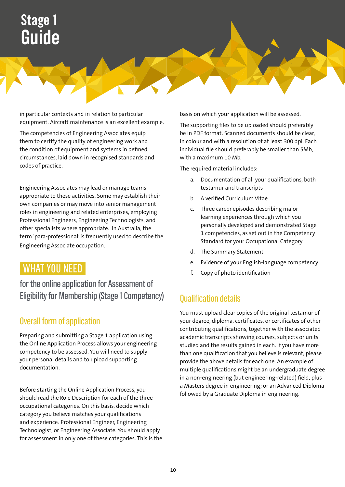in particular contexts and in relation to particular equipment. Aircraft maintenance is an excellent example.

The competencies of Engineering Associates equip them to certify the quality of engineering work and the condition of equipment and systems in defined circumstances, laid down in recognised standards and codes of practice.

Engineering Associates may lead or manage teams appropriate to these activities. Some may establish their own companies or may move into senior management roles in engineering and related enterprises, employing Professional Engineers, Engineering Technologists, and other specialists where appropriate. In Australia, the term 'para-professional' is frequently used to describe the Engineering Associate occupation.

## WHAT YOU NEED

for the online application for Assessment of Eligibility for Membership (Stage 1 Competency)

### Overall form of application

Preparing and submitting a Stage 1 application using the Online Application Process allows your engineering competency to be assessed. You will need to supply your personal details and to upload supporting documentation.

Before starting the Online Application Process, you should read the Role Description for each of the three occupational categories. On this basis, decide which category you believe matches your qualifications and experience: Professional Engineer, Engineering Technologist, or Engineering Associate. You should apply for assessment in only one of these categories. This is the basis on which your application will be assessed.

The supporting files to be uploaded should preferably be in PDF format. Scanned documents should be clear, in colour and with a resolution of at least 300 dpi. Each individual file should preferably be smaller than 5Mb, with a maximum 10 Mb.

The required material includes:

- a. Documentation of all your qualifications, both testamur and transcripts
- b. A verified Curriculum Vitae
- c. Three career episodes describing major learning experiences through which you personally developed and demonstrated Stage 1 competencies, as set out in the Competency Standard for your Occupational Category
- d. The Summary Statement
- e. Evidence of your English-language competency
- f. Copy of photo identification

### Qualification details

You must upload clear copies of the original testamur of your degree, diploma, certificates, or certificates of other contributing qualifications, together with the associated academic transcripts showing courses, subjects or units studied and the results gained in each. If you have more than one qualification that you believe is relevant, please provide the above details for each one. An example of multiple qualifications might be an undergraduate degree in a non-engineering (but engineering-related) field, plus a Masters degree in engineering; or an Advanced Diploma followed by a Graduate Diploma in engineering.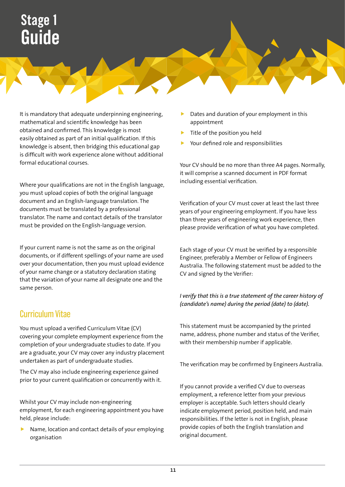It is mandatory that adequate underpinning engineering, mathematical and scientific knowledge has been obtained and confirmed. This knowledge is most easily obtained as part of an initial qualification. If this knowledge is absent, then bridging this educational gap is difficult with work experience alone without additional formal educational courses.

Where your qualifications are not in the English language, you must upload copies of both the original language document and an English-language translation. The documents must be translated by a professional translator. The name and contact details of the translator must be provided on the English-language version.

If your current name is not the same as on the original documents, or if different spellings of your name are used over your documentation, then you must upload evidence of your name change or a statutory declaration stating that the variation of your name all designate one and the same person.

### Curriculum Vitae

You must upload a verified Curriculum Vitae (CV) covering your complete employment experience from the completion of your undergraduate studies to date. If you are a graduate, your CV may cover any industry placement undertaken as part of undergraduate studies.

The CV may also include engineering experience gained prior to your current qualification or concurrently with it.

Whilst your CV may include non-engineering employment, for each engineering appointment you have held, please include:

Name, location and contact details of your employing organisation

- Dates and duration of your employment in this appointment
- Title of the position you held
- Your defined role and responsibilities

Your CV should be no more than three A4 pages. Normally, it will comprise a scanned document in PDF format including essential verification.

Verification of your CV must cover at least the last three years of your engineering employment. If you have less than three years of engineering work experience, then please provide verification of what you have completed.

Each stage of your CV must be verified by a responsible Engineer, preferably a Member or Fellow of Engineers Australia. The following statement must be added to the CV and signed by the Verifier:

#### *I verify that this is a true statement of the career history of (candidate's name) during the period (date) to (date).*

This statement must be accompanied by the printed name, address, phone number and status of the Verifier, with their membership number if applicable.

The verification may be confirmed by Engineers Australia.

If you cannot provide a verified CV due to overseas employment, a reference letter from your previous employer is acceptable. Such letters should clearly indicate employment period, position held, and main responsibilities. If the letter is not in English, please provide copies of both the English translation and original document.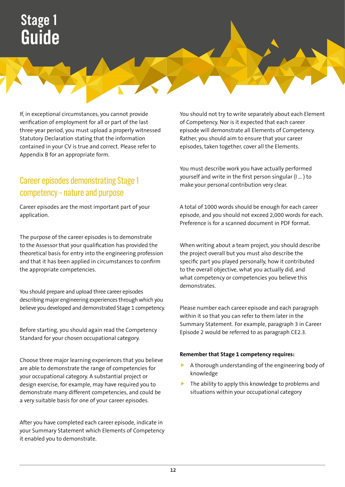If, in exceptional circumstances, you cannot provide verification of employment for all or part of the last three-year period, you must upload a properly witnessed Statutory Declaration stating that the information contained in your CV is true and correct. Please refer to Appendix B for an appropriate form.

### Career episodes demonstrating Stage 1 competency – nature and purpose

Career episodes are the most important part of your application.

The purpose of the career episodes is to demonstrate to the Assessor that your qualification has provided the theoretical basis for entry into the engineering profession and that it has been applied in circumstances to confirm the appropriate competencies.

You should prepare and upload three career episodes describing major engineering experiences through which you believe you developed and demonstrated Stage 1 competency.

Before starting, you should again read the Competency Standard for your chosen occupational category.

Choose three major learning experiences that you believe are able to demonstrate the range of competencies for your occupational category. A substantial project or design exercise, for example, may have required you to demonstrate many different competencies, and could be a very suitable basis for one of your career episodes.

After you have completed each career episode, indicate in your Summary Statement which Elements of Competency it enabled you to demonstrate.

You should not try to write separately about each Element of Competency. Nor is it expected that each career episode will demonstrate all Elements of Competency. Rather, you should aim to ensure that your career episodes, taken together, cover all the Elements.

You must describe work you have actually performed yourself and write in the first person singular (I … ) to make your personal contribution very clear.

A total of 1000 words should be enough for each career episode, and you should not exceed 2,000 words for each. Preference is for a scanned document in PDF format.

When writing about a team project, you should describe the project overall but you must also describe the specific part you played personally, how it contributed to the overall objective, what you actually did, and what competency or competencies you believe this demonstrates.

Please number each career episode and each paragraph within it so that you can refer to them later in the Summary Statement. For example, paragraph 3 in Career Episode 2 would be referred to as paragraph CE2.3.

#### **Remember that Stage 1 competency requires:**

- A thorough understanding of the engineering body of knowledge
- The ability to apply this knowledge to problems and situations within your occupational category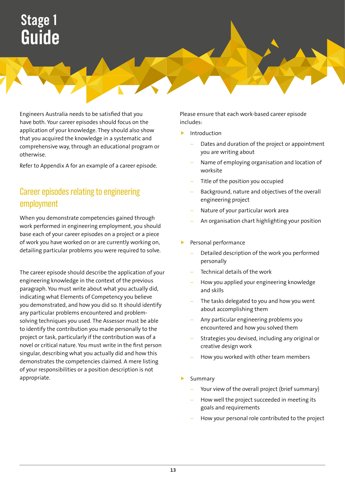Engineers Australia needs to be satisfied that you have both. Your career episodes should focus on the application of your knowledge. They should also show that you acquired the knowledge in a systematic and comprehensive way, through an educational program or otherwise.

Refer to Appendix A for an example of a career episode.

### Career episodes relating to engineering employment

When you demonstrate competencies gained through work performed in engineering employment, you should base each of your career episodes on a project or a piece of work you have worked on or are currently working on, detailing particular problems you were required to solve.

The career episode should describe the application of your engineering knowledge in the context of the previous paragraph. You must write about what you actually did, indicating what Elements of Competency you believe you demonstrated, and how you did so. It should identify any particular problems encountered and problemsolving techniques you used. The Assessor must be able to identify the contribution you made personally to the project or task, particularly if the contribution was of a novel or critical nature. You must write in the first person singular, describing what you actually did and how this demonstrates the competencies claimed. A mere listing of your responsibilities or a position description is not appropriate.

Please ensure that each work-based career episode includes:

- $\blacktriangleright$  Introduction
	- Dates and duration of the project or appointment you are writing about
	- Name of employing organisation and location of worksite
	- Title of the position you occupied
	- Background, nature and objectives of the overall engineering project
	- Nature of your particular work area
	- An organisation chart highlighting your position
- Personal performance
	- Detailed description of the work you performed personally
	- Technical details of the work
	- How you applied your engineering knowledge and skills
	- The tasks delegated to you and how you went about accomplishing them
	- Any particular engineering problems you encountered and how you solved them
	- Strategies you devised, including any original or creative design work
	- How you worked with other team members
- Summary
	- Your view of the overall project (brief summary)
	- How well the project succeeded in meeting its goals and requirements
	- How your personal role contributed to the project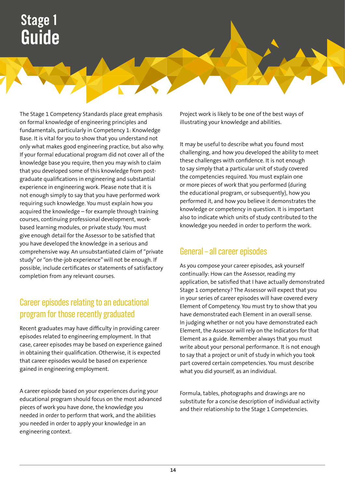The Stage 1 Competency Standards place great emphasis on formal knowledge of engineering principles and fundamentals, particularly in Competency 1: Knowledge Base. It is vital for you to show that you understand not only what makes good engineering practice, but also why. If your formal educational program did not cover all of the knowledge base you require, then you may wish to claim that you developed some of this knowledge from postgraduate qualifications in engineering and substantial experience in engineering work. Please note that it is not enough simply to say that you have performed work requiring such knowledge. You must explain how you acquired the knowledge – for example through training courses, continuing professional development, workbased learning modules, or private study. You must give enough detail for the Assessor to be satisfied that you have developed the knowledge in a serious and comprehensive way. An unsubstantiated claim of "private study" or "on-the-job experience" will not be enough. If possible, include certificates or statements of satisfactory completion from any relevant courses.

### Career episodes relating to an educational program for those recently graduated

Recent graduates may have difficulty in providing career episodes related to engineering employment. In that case, career episodes may be based on experience gained in obtaining their qualification. Otherwise, it is expected that career episodes would be based on experience gained in engineering employment.

A career episode based on your experiences during your educational program should focus on the most advanced pieces of work you have done, the knowledge you needed in order to perform that work, and the abilities you needed in order to apply your knowledge in an engineering context.

Project work is likely to be one of the best ways of illustrating your knowledge and abilities.

It may be useful to describe what you found most challenging, and how you developed the ability to meet these challenges with confidence. It is not enough to say simply that a particular unit of study covered the competencies required. You must explain one or more pieces of work that you performed (during the educational program, or subsequently), how you performed it, and how you believe it demonstrates the knowledge or competency in question. It is important also to indicate which units of study contributed to the knowledge you needed in order to perform the work.

### General – all career episodes

As you compose your career episodes, ask yourself continually: How can the Assessor, reading my application, be satisfied that I have actually demonstrated Stage 1 competency? The Assessor will expect that you in your series of career episodes will have covered every Element of Competency. You must try to show that you have demonstrated each Element in an overall sense. In judging whether or not you have demonstrated each Element, the Assessor will rely on the Indicators for that Element as a guide. Remember always that you must write about your personal performance. It is not enough to say that a project or unit of study in which you took part covered certain competencies. You must describe what you did yourself, as an individual.

Formula, tables, photographs and drawings are no substitute for a concise description of individual activity and their relationship to the Stage 1 Competencies.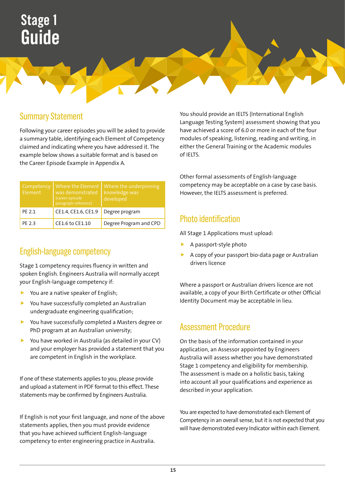### Summary Statement

Following your career episodes you will be asked to provide a summary table, identifying each Element of Competency claimed and indicating where you have addressed it. The example below shows a suitable format and is based on the Career Episode Example in Appendix A.

| Competency<br>Flement | was demonstrated<br>(career episode<br>paragraph reference) | Where the Element   Where the underpinning<br>knowledge was<br>developed |
|-----------------------|-------------------------------------------------------------|--------------------------------------------------------------------------|
| PF 2.1                | CE1.4, CE1.6, CE1.9                                         | Degree program                                                           |
| PF 2.3                | CE1.6 to CE1.10                                             | Degree Program and CPD                                                   |

### English-language competency

Stage 1 competency requires fluency in written and spoken English. Engineers Australia will normally accept your English-language competency if:

- You are a native speaker of English;
- $\blacktriangleright$  You have successfully completed an Australian undergraduate engineering qualification;
- $\blacktriangleright$  You have successfully completed a Masters degree or PhD program at an Australian university;
- $\blacktriangleright$  You have worked in Australia (as detailed in your CV) and your employer has provided a statement that you are competent in English in the workplace.

If one of these statements applies to you, please provide and upload a statement in PDF format to this effect. These statements may be confirmed by Engineers Australia.

If English is not your first language, and none of the above statements applies, then you must provide evidence that you have achieved sufficient English-language competency to enter engineering practice in Australia.

You should provide an IELTS (International English Language Testing System) assessment showing that you have achieved a score of 6.0 or more in each of the four modules of speaking, listening, reading and writing, in either the General Training or the Academic modules of IELTS.

Other formal assessments of English-language competency may be acceptable on a case by case basis. However, the IELTS assessment is preferred.

### Photo identification

All Stage 1 Applications must upload:

- A passport-style photo
- A copy of your passport bio-data page or Australian drivers licence

Where a passport or Australian drivers licence are not available, a copy of your Birth Certificate or other Official Identity Document may be acceptable in lieu.

### Assessment Procedure

On the basis of the information contained in your application, an Assessor appointed by Engineers Australia will assess whether you have demonstrated Stage 1 competency and eligibility for membership. The assessment is made on a holistic basis, taking into account all your qualifications and experience as described in your application.

You are expected to have demonstrated each Element of Competency in an overall sense, but it is not expected that you will have demonstrated every Indicator within each Element.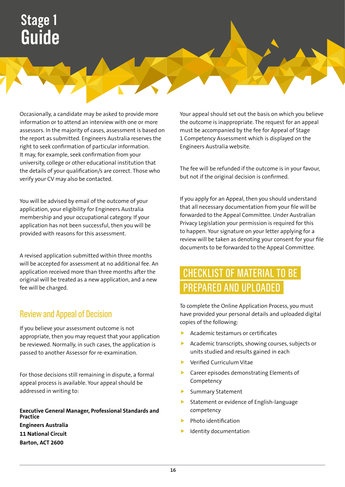Occasionally, a candidate may be asked to provide more information or to attend an interview with one or more assessors. In the majority of cases, assessment is based on the report as submitted. Engineers Australia reserves the right to seek confirmation of particular information. It may, for example, seek confirmation from your university, college or other educational institution that the details of your qualification/s are correct. Those who verify your CV may also be contacted.

You will be advised by email of the outcome of your application, your eligibility for Engineers Australia membership and your occupational category. If your application has not been successful, then you will be provided with reasons for this assessment.

A revised application submitted within three months will be accepted for assessment at no additional fee. An application received more than three months after the original will be treated as a new application, and a new fee will be charged.

### Review and Appeal of Decision

If you believe your assessment outcome is not appropriate, then you may request that your application be reviewed. Normally, in such cases, the application is passed to another Assessor for re-examination.

For those decisions still remaining in dispute, a formal appeal process is available. Your appeal should be addressed in writing to:

**Executive General Manager, Professional Standards and Practice Engineers Australia 11 National Circuit Barton, ACT 2600**

Your appeal should set out the basis on which you believe the outcome is inappropriate. The request for an appeal must be accompanied by the fee for Appeal of Stage 1 Competency Assessment which is displayed on the Engineers Australia website.

The fee will be refunded if the outcome is in your favour, but not if the original decision is confirmed.

If you apply for an Appeal, then you should understand that all necessary documentation from your file will be forwarded to the Appeal Committee. Under Australian Privacy Legislation your permission is required for this to happen. Your signature on your letter applying for a review will be taken as denoting your consent for your file documents to be forwarded to the Appeal Committee.

## CHECKLIST OF MATERIAL TO BE PREPARED AND UPLOADED

To complete the Online Application Process, you must have provided your personal details and uploaded digital copies of the following:

- Academic testamurs or certificates
- Academic transcripts, showing courses, subjects or units studied and results gained in each
- Verified Curriculum Vitae
- $\blacktriangleright$  Career episodes demonstrating Elements of Competency
- Summary Statement
- Statement or evidence of English-language competency
- Photo identification
- Identity documentation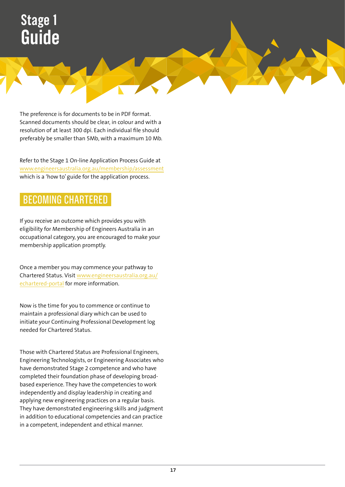The preference is for documents to be in PDF format. Scanned documents should be clear, in colour and with a resolution of at least 300 dpi. Each individual file should preferably be smaller than 5Mb, with a maximum 10 Mb.

Refer to the Stage 1 On-line Application Process Guide at [www.engineersaustralia.org.au/membership/assessment](http://www.engineersaustralia.org.au/membership/assessment) which is a 'how to' guide for the application process.

## BECOMING CHARTERED

If you receive an outcome which provides you with eligibility for Membership of Engineers Australia in an occupational category, you are encouraged to make your membership application promptly.

Once a member you may commence your pathway to Chartered Status. Visit [www.engineersaustralia.org.au/](http://www.engineersaustralia.org.au/echartered-portal) [echartered-portal](http://www.engineersaustralia.org.au/echartered-portal) for more information.

Now is the time for you to commence or continue to maintain a professional diary which can be used to initiate your Continuing Professional Development log needed for Chartered Status.

Those with Chartered Status are Professional Engineers, Engineering Technologists, or Engineering Associates who have demonstrated Stage 2 competence and who have completed their foundation phase of developing broadbased experience. They have the competencies to work independently and display leadership in creating and applying new engineering practices on a regular basis. They have demonstrated engineering skills and judgment in addition to educational competencies and can practice in a competent, independent and ethical manner.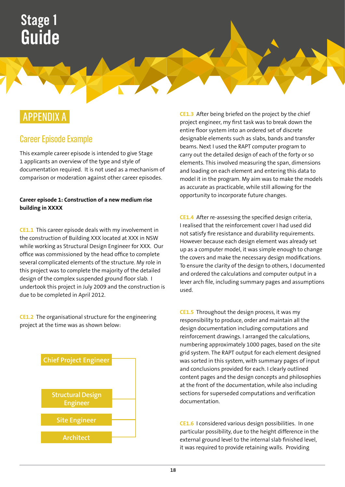## APPENDIX A

### Career Episode Example

This example career episode is intended to give Stage 1 applicants an overview of the type and style of documentation required. It is not used as a mechanism of comparison or moderation against other career episodes.

#### **Career episode 1: Construction of a new medium rise building in XXXX**

**CE1.1** This career episode deals with my involvement in the construction of Building XXX located at XXX in NSW while working as Structural Design Engineer for XXX. Our office was commissioned by the head office to complete several complicated elements of the structure. My role in this project was to complete the majority of the detailed design of the complex suspended ground floor slab. I undertook this project in July 2009 and the construction is due to be completed in April 2012.

**CE1.2** The organisational structure for the engineering project at the time was as shown below:



**CE1.3** After being briefed on the project by the chief project engineer, my first task was to break down the entire floor system into an ordered set of discrete designable elements such as slabs, bands and transfer beams. Next I used the RAPT computer program to carry out the detailed design of each of the forty or so elements. This involved measuring the span, dimensions and loading on each element and entering this data to model it in the program. My aim was to make the models as accurate as practicable, while still allowing for the opportunity to incorporate future changes.

**CE1.4** After re-assessing the specified design criteria, I realised that the reinforcement cover I had used did not satisfy fire resistance and durability requirements. However because each design element was already set up as a computer model, it was simple enough to change the covers and make the necessary design modifications. To ensure the clarity of the design to others, I documented and ordered the calculations and computer output in a lever arch file, including summary pages and assumptions used.

**CE1.5** Throughout the design process, it was my responsibility to produce, order and maintain all the design documentation including computations and reinforcement drawings. I arranged the calculations, numbering approximately 1000 pages, based on the site grid system. The RAPT output for each element designed was sorted in this system, with summary pages of input and conclusions provided for each. I clearly outlined content pages and the design concepts and philosophies at the front of the documentation, while also including sections for superseded computations and verification documentation.

**CE1.6** I considered various design possibilities. In one particular possibility, due to the height difference in the external ground level to the internal slab finished level, it was required to provide retaining walls. Providing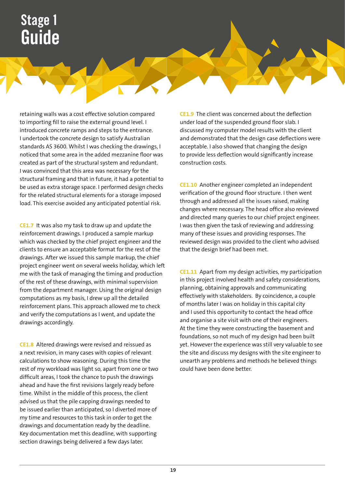retaining walls was a cost effective solution compared to importing fill to raise the external ground level. I introduced concrete ramps and steps to the entrance. I undertook the concrete design to satisfy Australian standards AS 3600. Whilst I was checking the drawings, I noticed that some area in the added mezzanine floor was created as part of the structural system and redundant. I was convinced that this area was necessary for the structural framing and that in future, it had a potential to be used as extra storage space. I performed design checks for the related structural elements for a storage imposed load. This exercise avoided any anticipated potential risk.

**CE1.7** It was also my task to draw up and update the reinforcement drawings. I produced a sample markup which was checked by the chief project engineer and the clients to ensure an acceptable format for the rest of the drawings. After we issued this sample markup, the chief project engineer went on several weeks holiday, which left me with the task of managing the timing and production of the rest of these drawings, with minimal supervision from the department manager. Using the original design computations as my basis, I drew up all the detailed reinforcement plans. This approach allowed me to check and verify the computations as I went, and update the drawings accordingly.

**CE1.8** Altered drawings were revised and reissued as a next revision, in many cases with copies of relevant calculations to show reasoning. During this time the rest of my workload was light so, apart from one or two difficult areas, I took the chance to push the drawings ahead and have the first revisions largely ready before time. Whilst in the middle of this process, the client advised us that the pile capping drawings needed to be issued earlier than anticipated, so I diverted more of my time and resources to this task in order to get the drawings and documentation ready by the deadline. Key documentation met this deadline, with supporting section drawings being delivered a few days later.

**CE1.9** The client was concerned about the deflection under load of the suspended ground floor slab. I discussed my computer model results with the client and demonstrated that the design case deflections were acceptable. I also showed that changing the design to provide less deflection would significantly increase construction costs.

**CE1.10** Another engineer completed an independent verification of the ground floor structure. I then went through and addressed all the issues raised, making changes where necessary. The head office also reviewed and directed many queries to our chief project engineer. I was then given the task of reviewing and addressing many of these issues and providing responses. The reviewed design was provided to the client who advised that the design brief had been met.

**CE1.11** Apart from my design activities, my participation in this project involved health and safety considerations, planning, obtaining approvals and communicating effectively with stakeholders. By coincidence, a couple of months later I was on holiday in this capital city and I used this opportunity to contact the head office and organise a site visit with one of their engineers. At the time they were constructing the basement and foundations, so not much of my design had been built yet. However the experience was still very valuable to see the site and discuss my designs with the site engineer to unearth any problems and methods he believed things could have been done better.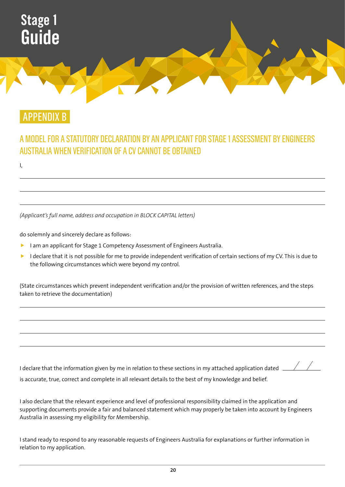

APPENDIX B

### A MODEL FOR A STATUTORY DECLARATION BY AN APPLICANT FOR STAGE 1 ASSESSMENT BY ENGINEERS AUSTRALIA WHEN VERIFICATION OF A CV CANNOT BE OBTAINED

I,

*(Applicant's full name, address and occupation in BLOCK CAPITAL letters)*

do solemnly and sincerely declare as follows:

- I am an applicant for Stage 1 Competency Assessment of Engineers Australia.
- $\blacktriangleright$  I declare that it is not possible for me to provide independent verification of certain sections of my CV. This is due to the following circumstances which were beyond my control.

(State circumstances which prevent independent verification and/or the provision of written references, and the steps taken to retrieve the documentation)

| I declare that the information given by me in relation to these sections in my attached application dated | <u>and the state of the state of the state of the state of the state of the state of the state of the state of the state of the state of the state of the state of the state of the state of the state of the state of the state</u> |  |
|-----------------------------------------------------------------------------------------------------------|--------------------------------------------------------------------------------------------------------------------------------------------------------------------------------------------------------------------------------------|--|
| is accurate, true, correct and complete in all relevant details to the best of my knowledge and belief.   |                                                                                                                                                                                                                                      |  |

 $\angle$ 

I also declare that the relevant experience and level of professional responsibility claimed in the application and supporting documents provide a fair and balanced statement which may properly be taken into account by Engineers Australia in assessing my eligibility for Membership.

I stand ready to respond to any reasonable requests of Engineers Australia for explanations or further information in relation to my application.